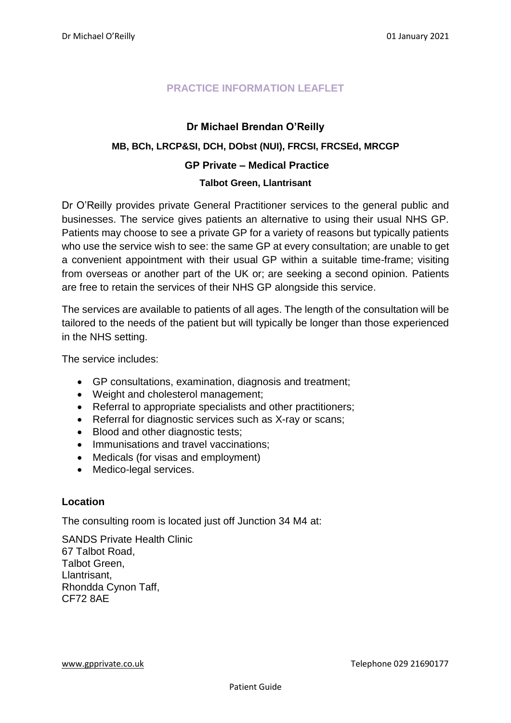# **PRACTICE INFORMATION LEAFLET**

# **Dr Michael Brendan O'Reilly**

# **MB, BCh, LRCP&SI, DCH, DObst (NUI), FRCSI, FRCSEd, MRCGP**

# **GP Private – Medical Practice**

#### **Talbot Green, Llantrisant**

Dr O'Reilly provides private General Practitioner services to the general public and businesses. The service gives patients an alternative to using their usual NHS GP. Patients may choose to see a private GP for a variety of reasons but typically patients who use the service wish to see: the same GP at every consultation; are unable to get a convenient appointment with their usual GP within a suitable time-frame; visiting from overseas or another part of the UK or; are seeking a second opinion. Patients are free to retain the services of their NHS GP alongside this service.

The services are available to patients of all ages. The length of the consultation will be tailored to the needs of the patient but will typically be longer than those experienced in the NHS setting.

The service includes:

- GP consultations, examination, diagnosis and treatment;
- Weight and cholesterol management;
- Referral to appropriate specialists and other practitioners;
- Referral for diagnostic services such as X-ray or scans;
- Blood and other diagnostic tests;
- Immunisations and travel vaccinations;
- Medicals (for visas and employment)
- Medico-legal services.

### **Location**

The consulting room is located just off Junction 34 M4 at:

SANDS Private Health Clinic 67 Talbot Road, Talbot Green, Llantrisant, Rhondda Cynon Taff, CF72 8AE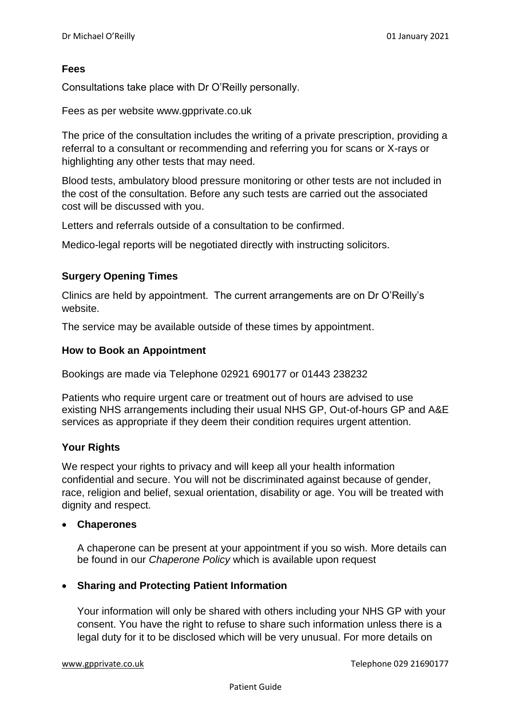# **Fees**

Consultations take place with Dr O'Reilly personally.

Fees as per website www.gpprivate.co.uk

The price of the consultation includes the writing of a private prescription, providing a referral to a consultant or recommending and referring you for scans or X-rays or highlighting any other tests that may need.

Blood tests, ambulatory blood pressure monitoring or other tests are not included in the cost of the consultation. Before any such tests are carried out the associated cost will be discussed with you.

Letters and referrals outside of a consultation to be confirmed.

Medico-legal reports will be negotiated directly with instructing solicitors.

# **Surgery Opening Times**

Clinics are held by appointment. The current arrangements are on Dr O'Reilly's website.

The service may be available outside of these times by appointment.

### **How to Book an Appointment**

Bookings are made via Telephone 02921 690177 or 01443 238232

Patients who require urgent care or treatment out of hours are advised to use existing NHS arrangements including their usual NHS GP, Out-of-hours GP and A&E services as appropriate if they deem their condition requires urgent attention.

### **Your Rights**

We respect your rights to privacy and will keep all your health information confidential and secure. You will not be discriminated against because of gender, race, religion and belief, sexual orientation, disability or age. You will be treated with dignity and respect.

#### **Chaperones**

A chaperone can be present at your appointment if you so wish. More details can be found in our *Chaperone Policy* which is available upon request

### **Sharing and Protecting Patient Information**

Your information will only be shared with others including your NHS GP with your consent. You have the right to refuse to share such information unless there is a legal duty for it to be disclosed which will be very unusual. For more details on